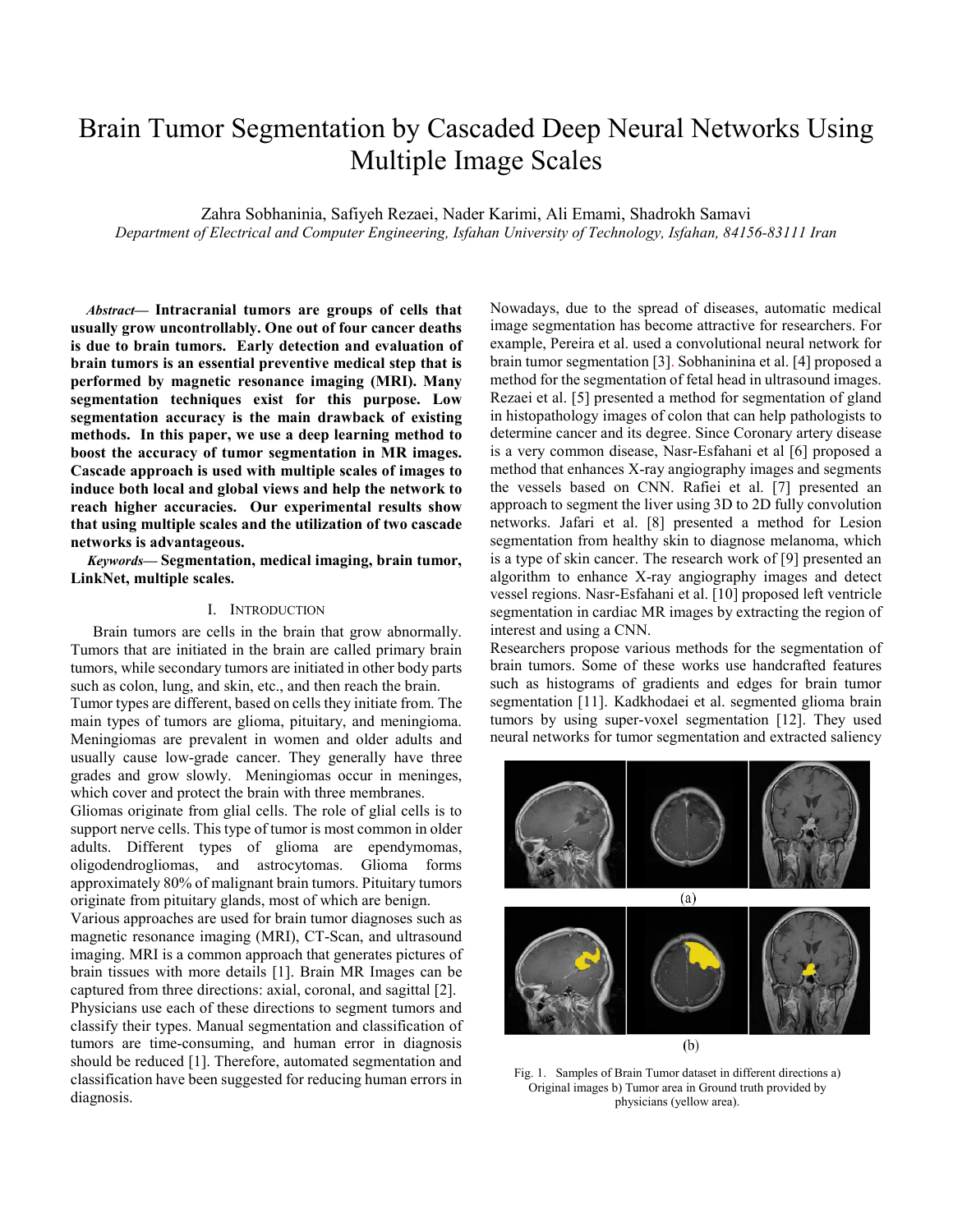# Brain Tumor Segmentation by Cascaded Deep Neural Networks Using Multiple Image Scales

Zahra Sobhaninia, Safiyeh Rezaei, Nader Karimi, Ali Emami, Shadrokh Samavi

*Department of Electrical and Computer Engineering, Isfahan University of Technology, Isfahan, 84156-83111 Iran* 

*Abstract***— Intracranial tumors are groups of cells that usually grow uncontrollably. One out of four cancer deaths is due to brain tumors. Early detection and evaluation of brain tumors is an essential preventive medical step that is performed by magnetic resonance imaging (MRI). Many segmentation techniques exist for this purpose. Low segmentation accuracy is the main drawback of existing methods. In this paper, we use a deep learning method to boost the accuracy of tumor segmentation in MR images. Cascade approach is used with multiple scales of images to induce both local and global views and help the network to reach higher accuracies. Our experimental results show that using multiple scales and the utilization of two cascade networks is advantageous.** 

*Keywords***— Segmentation, medical imaging, brain tumor, LinkNet, multiple scales.** 

## I. INTRODUCTION

Brain tumors are cells in the brain that grow abnormally. Tumors that are initiated in the brain are called primary brain tumors, while secondary tumors are initiated in other body parts such as colon, lung, and skin, etc., and then reach the brain.

Tumor types are different, based on cells they initiate from. The main types of tumors are glioma, pituitary, and meningioma. Meningiomas are prevalent in women and older adults and usually cause low-grade cancer. They generally have three grades and grow slowly. Meningiomas occur in meninges, which cover and protect the brain with three membranes.

Gliomas originate from glial cells. The role of glial cells is to support nerve cells. This type of tumor is most common in older adults. Different types of glioma are ependymomas, oligodendrogliomas, and astrocytomas. Glioma forms approximately 80% of malignant brain tumors. Pituitary tumors originate from pituitary glands, most of which are benign.

Various approaches are used for brain tumor diagnoses such as magnetic resonance imaging (MRI), CT-Scan, and ultrasound imaging. MRI is a common approach that generates pictures of brain tissues with more details [1]. Brain MR Images can be captured from three directions: axial, coronal, and sagittal [2]. Physicians use each of these directions to segment tumors and classify their types. Manual segmentation and classification of tumors are time-consuming, and human error in diagnosis should be reduced [1]. Therefore, automated segmentation and classification have been suggested for reducing human errors in diagnosis.

Nowadays, due to the spread of diseases, automatic medical image segmentation has become attractive for researchers. For example, Pereira et al. used a convolutional neural network for brain tumor segmentation [3]. Sobhaninina et al. [4] proposed a method for the segmentation of fetal head in ultrasound images. Rezaei et al. [5] presented a method for segmentation of gland in histopathology images of colon that can help pathologists to determine cancer and its degree. Since Coronary artery disease is a very common disease, Nasr-Esfahani et al [6] proposed a method that enhances X-ray angiography images and segments the vessels based on CNN. Rafiei et al. [7] presented an approach to segment the liver using 3D to 2D fully convolution networks. Jafari et al. [8] presented a method for Lesion segmentation from healthy skin to diagnose melanoma, which is a type of skin cancer. The research work of [9] presented an algorithm to enhance X-ray angiography images and detect vessel regions. Nasr-Esfahani et al. [10] proposed left ventricle segmentation in cardiac MR images by extracting the region of interest and using a CNN.

Researchers propose various methods for the segmentation of brain tumors. Some of these works use handcrafted features such as histograms of gradients and edges for brain tumor segmentation [11]. Kadkhodaei et al. segmented glioma brain tumors by using super-voxel segmentation [12]. They used neural networks for tumor segmentation and extracted saliency



Fig. 1. Samples of Brain Tumor dataset in different directions a) Original images b) Tumor area in Ground truth provided by physicians (yellow area).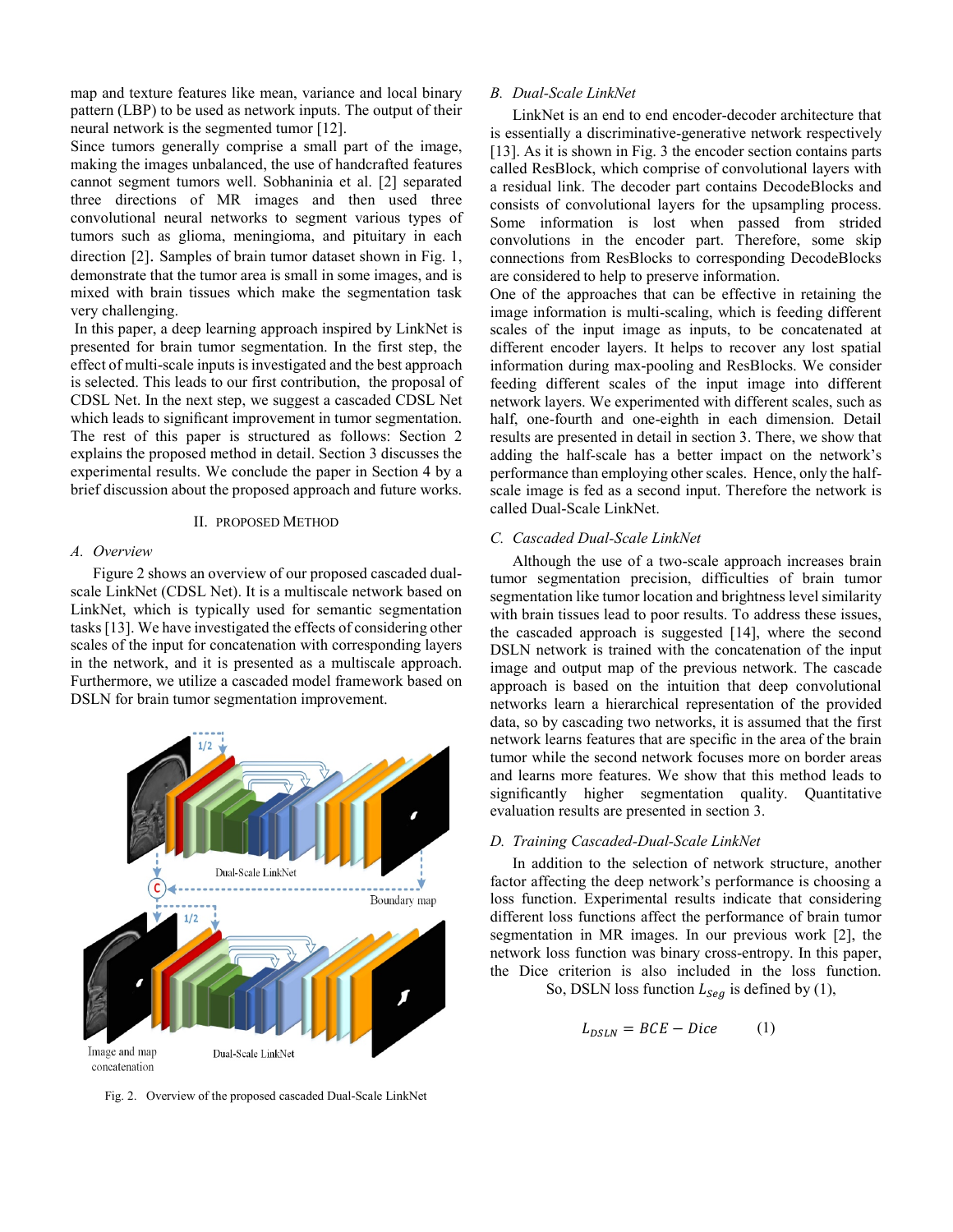map and texture features like mean, variance and local binary pattern (LBP) to be used as network inputs. The output of their neural network is the segmented tumor [12].

Since tumors generally comprise a small part of the image, making the images unbalanced, the use of handcrafted features cannot segment tumors well. Sobhaninia et al. [2] separated three directions of MR images and then used three convolutional neural networks to segment various types of tumors such as glioma, meningioma, and pituitary in each direction [2]. Samples of brain tumor dataset shown in Fig. 1, demonstrate that the tumor area is small in some images, and is mixed with brain tissues which make the segmentation task very challenging.

In this paper, a deep learning approach inspired by LinkNet is presented for brain tumor segmentation. In the first step, the effect of multi-scale inputs is investigated and the best approach is selected. This leads to our first contribution, the proposal of CDSL Net. In the next step, we suggest a cascaded CDSL Net which leads to significant improvement in tumor segmentation. The rest of this paper is structured as follows: Section 2 explains the proposed method in detail. Section 3 discusses the experimental results. We conclude the paper in Section 4 by a brief discussion about the proposed approach and future works.

## II. PROPOSED METHOD

## *A. Overview*

Figure 2 shows an overview of our proposed cascaded dualscale LinkNet (CDSL Net). It is a multiscale network based on LinkNet, which is typically used for semantic segmentation tasks [13]. We have investigated the effects of considering other scales of the input for concatenation with corresponding layers in the network, and it is presented as a multiscale approach. Furthermore, we utilize a cascaded model framework based on DSLN for brain tumor segmentation improvement.



Fig. 2. Overview of the proposed cascaded Dual-Scale LinkNet

## *B. Dual-Scale LinkNet*

LinkNet is an end to end encoder-decoder architecture that is essentially a discriminative-generative network respectively [13]. As it is shown in Fig. 3 the encoder section contains parts called ResBlock, which comprise of convolutional layers with a residual link. The decoder part contains DecodeBlocks and consists of convolutional layers for the upsampling process. Some information is lost when passed from strided convolutions in the encoder part. Therefore, some skip connections from ResBlocks to corresponding DecodeBlocks are considered to help to preserve information.

One of the approaches that can be effective in retaining the image information is multi-scaling, which is feeding different scales of the input image as inputs, to be concatenated at different encoder layers. It helps to recover any lost spatial information during max-pooling and ResBlocks. We consider feeding different scales of the input image into different network layers. We experimented with different scales, such as half, one-fourth and one-eighth in each dimension. Detail results are presented in detail in section 3. There, we show that adding the half-scale has a better impact on the network's performance than employing other scales. Hence, only the halfscale image is fed as a second input. Therefore the network is called Dual-Scale LinkNet.

# *C. Cascaded Dual-Scale LinkNet*

Although the use of a two-scale approach increases brain tumor segmentation precision, difficulties of brain tumor segmentation like tumor location and brightness level similarity with brain tissues lead to poor results. To address these issues, the cascaded approach is suggested [14], where the second DSLN network is trained with the concatenation of the input image and output map of the previous network. The cascade approach is based on the intuition that deep convolutional networks learn a hierarchical representation of the provided data, so by cascading two networks, it is assumed that the first network learns features that are specific in the area of the brain tumor while the second network focuses more on border areas and learns more features. We show that this method leads to significantly higher segmentation quality. Quantitative evaluation results are presented in section 3.

## *D. Training Cascaded-Dual-Scale LinkNet*

In addition to the selection of network structure, another factor affecting the deep network's performance is choosing a loss function. Experimental results indicate that considering different loss functions affect the performance of brain tumor segmentation in MR images. In our previous work [2], the network loss function was binary cross-entropy. In this paper, the Dice criterion is also included in the loss function.

So, DSLN loss function  $L_{Seg}$  is defined by (1),

$$
L_{DSLN} = BCE - Dice \tag{1}
$$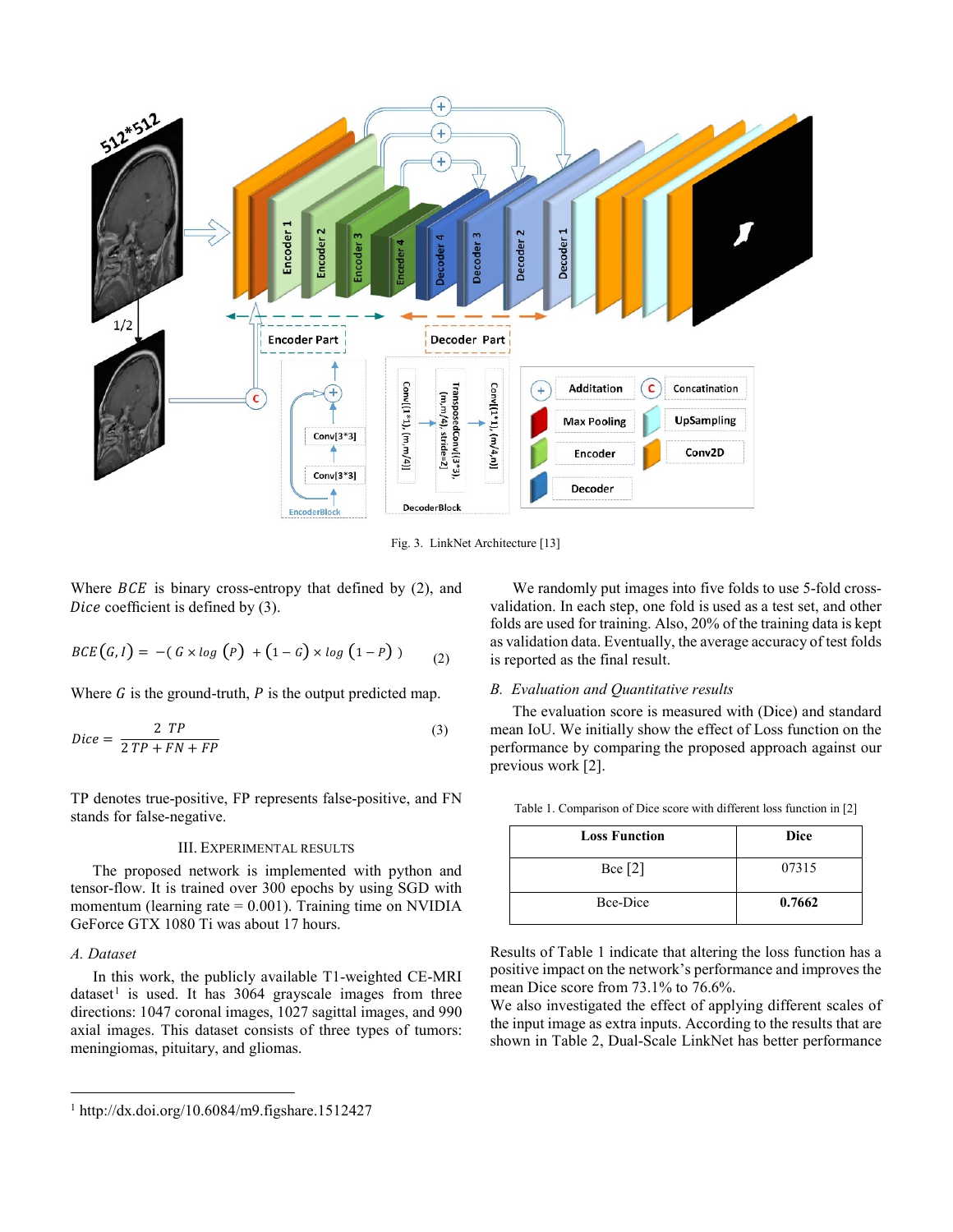

Fig. 3. LinkNet Architecture [13]

Where  $BCE$  is binary cross-entropy that defined by (2), and Dice coefficient is defined by  $(3)$ .

$$
BCE(G,I) = -(G \times log(P) + (1-G) \times log(1-P))
$$
 (2)

Where  $G$  is the ground-truth,  $P$  is the output predicted map.

$$
Dice = \frac{2 \ TP}{2 \ TP + FN + FP}
$$
 (3)

TP denotes true-positive, FP represents false-positive, and FN stands for false-negative.

# III. EXPERIMENTAL RESULTS

The proposed network is implemented with python and tensor-flow. It is trained over 300 epochs by using SGD with momentum (learning rate  $= 0.001$ ). Training time on NVIDIA GeForce GTX 1080 Ti was about 17 hours.

## *A. Dataset*

In this work, the publicly available T1-weighted CE-MRI dataset<sup>[1](#page-2-0)</sup> is used. It has  $3064$  grayscale images from three directions: 1047 coronal images, 1027 sagittal images, and 990 axial images. This dataset consists of three types of tumors: meningiomas, pituitary, and gliomas.

We randomly put images into five folds to use 5-fold crossvalidation. In each step, one fold is used as a test set, and other folds are used for training. Also, 20% of the training data is kept as validation data. Eventually, the average accuracy of test folds is reported as the final result.

#### *B. Evaluation and Quantitative results*

The evaluation score is measured with (Dice) and standard mean IoU. We initially show the effect of Loss function on the performance by comparing the proposed approach against our previous work [2].

| <b>Loss Function</b> | Dice   |
|----------------------|--------|
| Bce $[2]$            | 07315  |
| Bce-Dice             | 0.7662 |

Table 1. Comparison of Dice score with different loss function in [2]

Results of Table 1 indicate that altering the loss function has a positive impact on the network's performance and improves the mean Dice score from 73.1% to 76.6%.

We also investigated the effect of applying different scales of the input image as extra inputs. According to the results that are shown in Table 2, Dual-Scale LinkNet has better performance

<span id="page-2-0"></span> <sup>1</sup> http://dx.doi.org/10.6084/m9.figshare.1512427